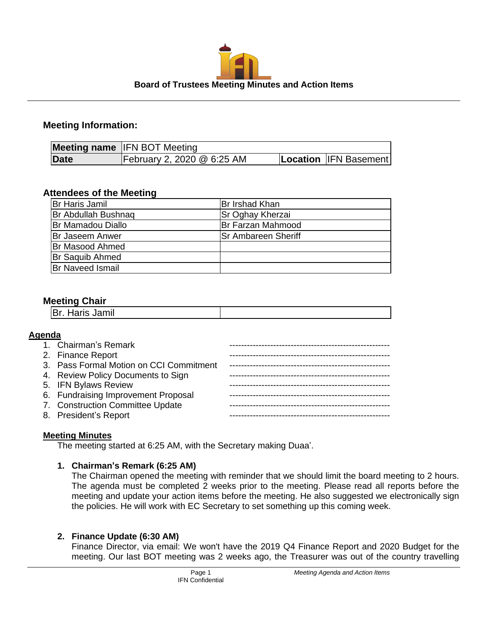

## **Meeting Information:**

|      | <b>Meeting name IFN BOT Meeting</b> |  |                       |
|------|-------------------------------------|--|-----------------------|
| Date | February 2, 2020 @ 6:25 AM          |  | Location IFN Basement |

# **Attendees of the Meeting**

| Br Haris Jamil           | Br Irshad Khan             |
|--------------------------|----------------------------|
| Br Abdullah Bushnag      | Sr Oghay Kherzai           |
| <b>Br Mamadou Diallo</b> | Br Farzan Mahmood          |
| <b>Br Jaseem Anwer</b>   | <b>Sr Ambareen Sheriff</b> |
| Br Masood Ahmed          |                            |
| <b>Br Saquib Ahmed</b>   |                            |
| <b>Br Naveed Ismail</b>  |                            |
|                          |                            |

## **Meeting Chair**

| ייים טוואט איז ישן |  |
|--------------------|--|
|                    |  |

### **Agenda**

| 1. Chairman's Remark                    |  |
|-----------------------------------------|--|
|                                         |  |
| 2. Finance Report                       |  |
| 3. Pass Formal Motion on CCI Commitment |  |
|                                         |  |
| 4. Review Policy Documents to Sign      |  |
| 5. IFN Bylaws Review                    |  |
|                                         |  |
| 6. Fundraising Improvement Proposal     |  |
| 7. Construction Committee Update        |  |
|                                         |  |
| 8. President's Report                   |  |
|                                         |  |

### **Meeting Minutes**

The meeting started at 6:25 AM, with the Secretary making Duaa'.

### **1. Chairman's Remark (6:25 AM)**

The Chairman opened the meeting with reminder that we should limit the board meeting to 2 hours. The agenda must be completed 2 weeks prior to the meeting. Please read all reports before the meeting and update your action items before the meeting. He also suggested we electronically sign the policies. He will work with EC Secretary to set something up this coming week.

### **2. Finance Update (6:30 AM)**

Finance Director, via email: We won't have the 2019 Q4 Finance Report and 2020 Budget for the meeting. Our last BOT meeting was 2 weeks ago, the Treasurer was out of the country travelling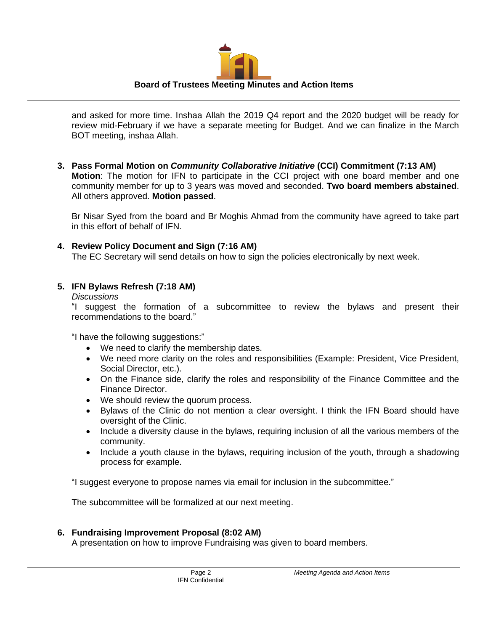

and asked for more time. Inshaa Allah the 2019 Q4 report and the 2020 budget will be ready for review mid-February if we have a separate meeting for Budget. And we can finalize in the March BOT meeting, inshaa Allah.

**3. Pass Formal Motion on** *Community Collaborative Initiative* **(CCI) Commitment (7:13 AM) Motion**: The motion for IFN to participate in the CCI project with one board member and one community member for up to 3 years was moved and seconded. **Two board members abstained**. All others approved. **Motion passed**.

Br Nisar Syed from the board and Br Moghis Ahmad from the community have agreed to take part in this effort of behalf of IFN.

**4. Review Policy Document and Sign (7:16 AM)**

The EC Secretary will send details on how to sign the policies electronically by next week.

## **5. IFN Bylaws Refresh (7:18 AM)**

*Discussions*

"I suggest the formation of a subcommittee to review the bylaws and present their recommendations to the board."

"I have the following suggestions:"

- We need to clarify the membership dates.
- We need more clarity on the roles and responsibilities (Example: President, Vice President, Social Director, etc.).
- On the Finance side, clarify the roles and responsibility of the Finance Committee and the Finance Director.
- We should review the quorum process.
- Bylaws of the Clinic do not mention a clear oversight. I think the IFN Board should have oversight of the Clinic.
- Include a diversity clause in the bylaws, requiring inclusion of all the various members of the community.
- Include a youth clause in the bylaws, requiring inclusion of the youth, through a shadowing process for example.

"I suggest everyone to propose names via email for inclusion in the subcommittee."

The subcommittee will be formalized at our next meeting.

# **6. Fundraising Improvement Proposal (8:02 AM)**

A presentation on how to improve Fundraising was given to board members.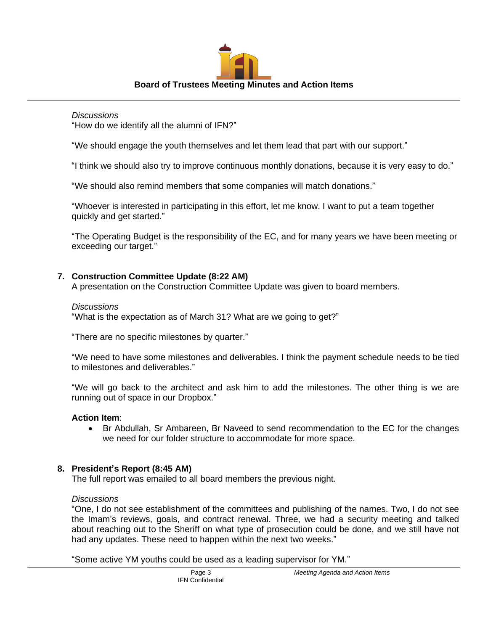

### *Discussions*

"How do we identify all the alumni of IFN?"

"We should engage the youth themselves and let them lead that part with our support."

"I think we should also try to improve continuous monthly donations, because it is very easy to do."

"We should also remind members that some companies will match donations."

"Whoever is interested in participating in this effort, let me know. I want to put a team together quickly and get started."

"The Operating Budget is the responsibility of the EC, and for many years we have been meeting or exceeding our target."

# **7. Construction Committee Update (8:22 AM)**

A presentation on the Construction Committee Update was given to board members.

## *Discussions*

"What is the expectation as of March 31? What are we going to get?"

"There are no specific milestones by quarter."

"We need to have some milestones and deliverables. I think the payment schedule needs to be tied to milestones and deliverables."

"We will go back to the architect and ask him to add the milestones. The other thing is we are running out of space in our Dropbox."

# **Action Item**:

• Br Abdullah, Sr Ambareen, Br Naveed to send recommendation to the EC for the changes we need for our folder structure to accommodate for more space.

# **8. President's Report (8:45 AM)**

The full report was emailed to all board members the previous night.

# *Discussions*

"One, I do not see establishment of the committees and publishing of the names. Two, I do not see the Imam's reviews, goals, and contract renewal. Three, we had a security meeting and talked about reaching out to the Sheriff on what type of prosecution could be done, and we still have not had any updates. These need to happen within the next two weeks."

"Some active YM youths could be used as a leading supervisor for YM."